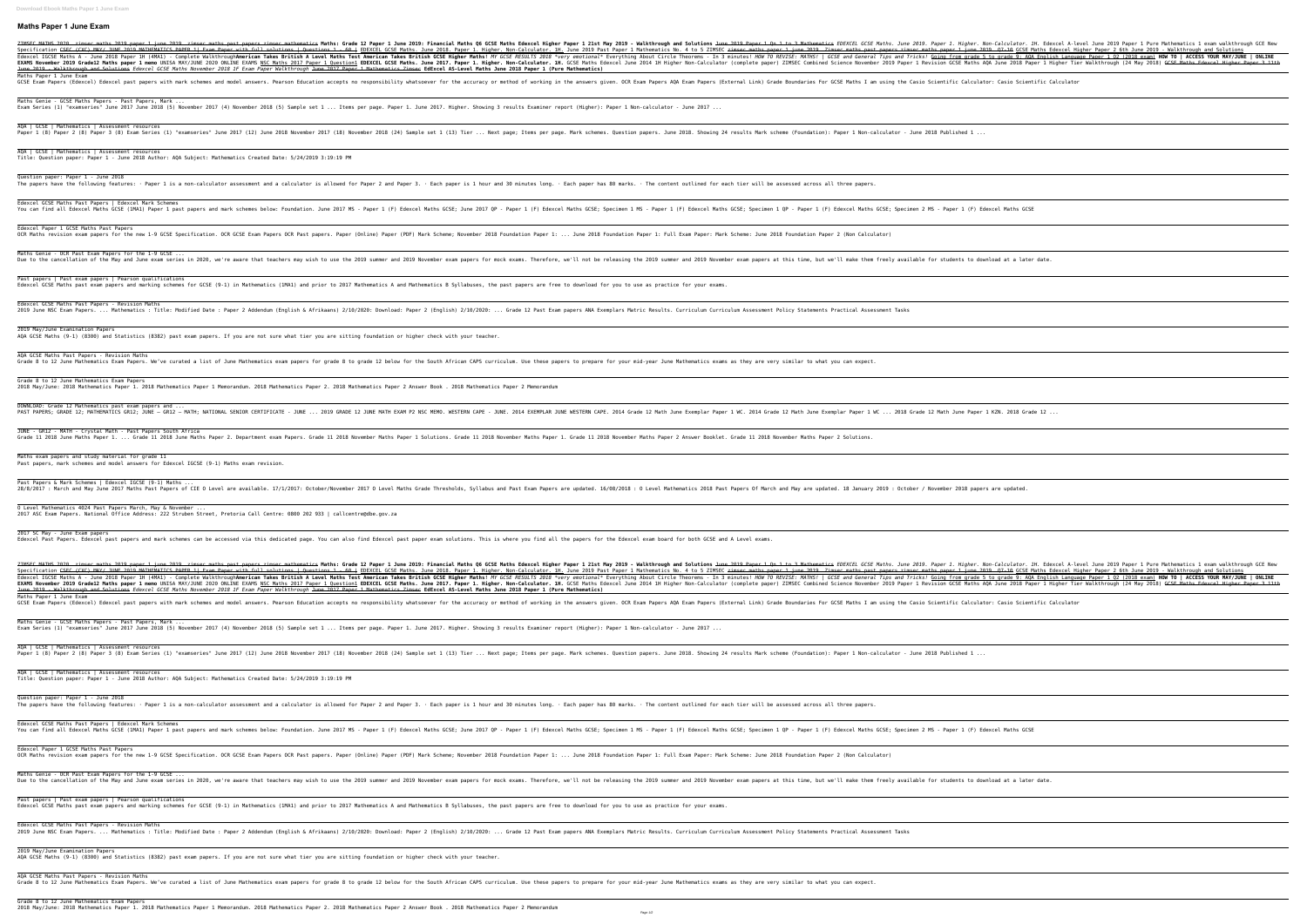## **Maths Paper 1 June Exam**

2IMSEC MATHS 2020. zimsec maths 2019 paper 1 june 2019. zimsec maths past papers.zimsec mathematics Maths: Grade 12 Paper 1 Qn 1 to 3 Mathematics EDEXCEL GCSE Maths. June 2019. Paper 1. Higher. Non-Calculator. 1H. E Specification <del>CSEC (CXC) MAY/ JUNE 2019 MATHEMATICS PAPER 1| Exam Paper with full solutions | Ouestions | Ouestions | Ouestions | - 60 | EDEXCEL GCSE Maths. June 2019 Past Paper 1 june 2019. Zimsec maths past paper 2 june</del> Theorems - In Belexcel IGCSE Maths A - June 2018 Paper 1H (4MA1) - Complete Walkthrough**American Takes British A Level Maths! A Level Maths Test American Takes British A Level Maths! A Level Maths Test American Takes Briti** EXAMS November 2019 Grade12 Maths paper 1 memo UNISA MAY/JUNE 2020 ONLINE EXAMS <u>NSC Maths 2017 Paper 1 Question1</u> EDEXCEL GCSE Maths. June 2017. Paper 1. Higher. Non-Calculator. 1H. GCSE Maths. June 2017. Paper 1. Higher. June 2019 - Walkthrough and Solutions *Edexcel GCSE Maths November 2018 1F Exam Paper Walkthrough* June 2017 Pap Maths Paper 1 June Exam GCSE Exam Papers (Edexcel) Edexcel past papers with mark schemes and model answers. Pearson Education accepts no responsibility whatsoever for the answers given. OCR Exam Papers AQA Exam Papers (External Link) Grade Bounda Maths Genie - GCSE Maths Papers - Past Papers, Mark ... Exam Series (1) "examseries" June 2017 June 2018 (5) November 2017 (4) November 2018 (5) Sample set 1 ... Items per page. Paper 1. June 2017. Higher. Showing 3 results Examiner report (Higher): Paper 1 Non-calculator - Jun AQA | GCSE | Mathematics | Assessment resources 1 (8) Paper 2 (8) Paper 3 (8) Exam Series (1) "examseries" June 2017 (12) June 2018 November 2018 November 2018 (24) Sample set 1 (13) Tier ... Next page; Items per page. Mark schemes. Question papers. June 2018 (24) Sampl AQA | GCSE | Mathematics | Assessment resources Title: Question paper: Paper 1 - June 2018 Author: AQA Subject: Mathematics Created Date: 5/24/2019 3:19:19 PM Question paper: Paper 1 - June 2018 The papers have the following features: · Paper 1 is a non-calculator assessment and a calculator is allowed for Paper 3. · Each paper is 1 hour and 30 minutes long. · Each paper has 80 marks. · The content outlined for ea Edexcel GCSE Maths Past Papers | Edexcel Mark Schemes You can find all Edexcel Maths GCSE (1MA1) Paper 1 past papers and mark schemes below: Foundation. June 2017 MS - Paper 1 (F) Edexcel Maths GCSE; Specimen 1 MS - Paper 1 (F) Edexcel Maths GCSE; Specimen 1 MS - Paper 1 (F) Edexcel Paper 1 GCSE Maths Past Papers OCR Maths revision exam papers for the new 1-9 GCSE Specification. OCR GCSE Exam Papers OCR Past papers OCR Past papers. Paper (Online) Paper 1: ... June 2018 Foundation Paper 1: ... June 2018 Foundation Paper 1: Full Exam Maths Genie - OCR Past Exam Papers for the 1-9 GCSE ... Due to the cancellation of the May and June exam series in 2020, we're aware that teachers may wish to use the 2019 November exam papers at this time, but we'll make them freely available for students to download at a late Past papers | Past exam papers | Pearson qualifications Edexcel GCSE Maths past exam papers and marking schemes for GCSE (9-1) in Mathematics (1MA1) and prior to 2017 Mathematics A and Mathematics B Syllabuses, the past papers are free to download for you to use as practice for Edexcel GCSE Maths Past Papers - Revision Maths 2019 June NSC Exam Papers. ... Mathematics : Title: Modified Date : Paper 2 Addendum (English & Afrikaans) 2/10/2020: Download: Paper 2 (English) 2/10/2020: ... Grade 12 Past Exam papers ANA Exemplars Matric Results. Curri 2019 May/June Examination Papers AQA GCSE Maths (9-1) (8300) and Statistics (8382) past exam papers. If you are not sure what tier you are sitting foundation or higher check with your teacher. AQA GCSE Maths Past Papers - Revision Maths Grade 8 to 12 June Mathematics Exam Papers. We've curated a list of June Mathematics exam papers for grade 8 to grade 12 below for the South African CAPS curriculum. Use these papers to prepare for your mid-year June Mathe Grade 8 to 12 June Mathematics Exam Papers 2018 May/June: 2018 Mathematics Paper 1. 2018 Mathematics Paper 1 Memorandum. 2018 Mathematics Paper 2. 2018 Mathematics Paper 2 Answer Book . 2018 Mathematics Paper 2 Memorandum DOWNLOAD: Grade 12 Mathematics past exam papers and ... ...2019 GRADE 12: MATHEMATICS GR12: JUNE – GR12 – MATH: NATIONAL SENIOR CERTIFICATE - JUNE ... 2019 GRADE 12 JUNE MATH EXAM P2 NSC MEMO. WESTERN CAPE - JUNE ... 2019 GRADE 12 JUNE MATH EXAM P2 NSC MEMO. WESTERN CAPE - JUNE JUNE - GR12 - MATH - Crystal Math - Past Papers South Africa Grade 11 2018 June Maths Paper 1. ... Grade 11 2018 June Maths Paper 2. Department exam Papers. Grade 11 2018 November Maths Paper 1 Solutions. Grade 11 2018 November Maths Paper 1. Grade 11 2018 November Maths Paper 2 Ans Maths exam papers and study material for grade 11 Past papers, mark schemes and model answers for Edexcel IGCSE (9-1) Maths exam revision. Past Papers & Mark Schemes | Edexcel IGCSE (9-1) Maths ... 28/8/2017 : March and May June 2017 Maths Past Papers of CIE O Level are available. 17/1/2017: October/November 2017 O Level Mathematics 2018 Past Papers are updated. 16/08/2018 : O Level Mathematics 2018 Past Papers are u O Level Mathematics 4024 Past Papers March, May & November ... 2017 ASC Exam Papers. National Office Address: 222 Struben Street, Pretoria Call Centre: 0800 202 933 | callcentre@dbe.gov.za 2017 SC May - June Exam papers Edexcel Past Papers. Edexcel past papers and mark schemes can be accessed via this dedicated page. You can also find Edexcel past paper exam solutions. This is where you find all the papers for the Edexcel exam board for b arthematics Maths 2020. Zimsec maths 2019 paper 1 june 2019. zimsec maths past papers.zimsec mathematics Mathematics Maths: Grade 12 Paper 1 Qn 1 to 3 Mathematics EDEXCEL GCSE Maths. June 2019. Paper 1. Higher. Non-Calcula The 2019 Past Paper 1 june 2019 MATHEMATICS PAPER 1| Exam Paper with full solutions | Questions | Questions | Questions | Questions 1 - 60 | EDEXCEL GCSE Maths. June 2019 Past Paper 1 june 2019. 2imsec maths past paper 2 j Incorrect IGCSE Maths A - June 2018 Paper 1H (4MA1) - Complete Walkthrough**American Takes British A Level Maths Test American Takes British GCSE Higher Maths! Ay GCSE RESULTS 2018 \*very emotional\* Everything About Circle T** EXAMS November 2019 Grade12 Maths paper 1 memo UNISA MAY/JUNE 2020 ONLINE EXAMS <u>NSC Maths 2017 Paper 1 Question1</u> EDEXCEL GCSE Maths. June 2017. Paper 1. Higher. Non-Calculator. 1H. GCSE Maths Edexcel June 2017. Paper 1. June 2019 - Walkthrough and Solutions *Edexcel GCSE Maths November 2018 1F Exam Paper Walkthrough* June 2017 Pap Maths Paper 1 June Exam GCSE Exam Papers (Edexcel) Edexcel past papers with mark schemes and model answers. Pearson Education accepts no responsibility whatsoever for the answers given. OCR Exam Papers AQA Exam Papers (External Link) Grade Bounda Maths Genie - GCSE Maths Papers - Past Papers, Mark ... Exam Series (1) "examseries" June 2017 June 2018 (5) November 2017 (4) November 2018 (5) Sample set 1 ... Items per page. Paper 1. June 2017. Higher. Showing 3 results Examiner report (Higher): Paper 1 Non-calculator - Jun AQA | GCSE | Mathematics | Assessment resources 1 (8) Paper 2 (8) Paper 3 (8) Exam Series (1) "examseries" June 2017 (12) June 2018 November 2018 November 2018 (24) Sample set 1 (13) Tier ... Next page; Items per page. Mark schemes. Question papers. June 2018 (24) Sampl AQA | GCSE | Mathematics | Assessment resources Title: Question paper: Paper 1 - June 2018 Author: AQA Subject: Mathematics Created Date: 5/24/2019 3:19:19 PM Question paper: Paper 1 - June 2018 The papers have the following features: · Paper 1 is a non-calculator assessment and a calculator is allowed for Paper 3. · Each paper has 80 marks. · The content outlined for each tier will be assessed across all three pa Edexcel GCSE Maths Past Papers | Edexcel Mark Schemes You can find all Edexcel Maths GCSE (1MA1) Paper 1 past papers and mark schemes below: Foundation. June 2017 MS - Paper 1 (F) Edexcel Maths GCSE; Specimen 1 MS - Paper 1 (F) Edexcel Maths GCSE; Specimen 1 MS - Paper 1 (F) Edexcel Paper 1 GCSE Maths Past Papers OCR Maths revision exam papers for the new 1-9 GCSE Specification. OCR GCSE Exam Papers OCR Past papers. Paper (Online) Paper (PDF) Mark Scheme; November 2018 Foundation Paper 1: ... June 2018 Foundation Paper 1: Full Exam Maths Genie - OCR Past Exam Papers for the 1-9 GCSE ... Due to the cancellation of the May and June exam series in 2020, we're aware that teachers may wish to use the 2019 November exam papers at this time, but we'll make them freely available for students to download at a late Past papers | Past exam papers | Pearson qualifications Edexcel GCSE Maths past exam papers and marking schemes for GCSE (9-1) in Mathematics (1MA1) and prior to 2017 Mathematics B Syllabuses, the past papers are free to download for you to use as practice for your exams. Edexcel GCSE Maths Past Papers - Revision Maths 2019 June NSC Exam Papers. ... Mathematics : Title: Modified Date : Paper 2 Addendum (English & Afrikaans) 2/10/2020: Download: Paper 2 (English) 2/10/2020: ... Grade 12 Past Exam papers ANA Exemplars Matric Results. Curri 2019 May/June Examination Papers AQA GCSE Maths (9-1) (8300) and Statistics (8382) past exam papers. If you are not sure what tier you are sitti AQA GCSE Maths Past Papers - Revision Maths Grade 8 to 12 June Mathematics Exam Papers. We've curated a list of June Mathematics exam papers for grade 8 to grade 8 to grade 12 below for the South African CAPS curriculum. Use these papers to prepare for your mid-year Grade 8 to 12 June Mathematics Exam Papers 2018 May/June: 2018 Mathematics Paper 1. 2018 Mathematics Paper 1 Memorandum. 2018 Mathematics Paper 2. 2018 Mathematics Paper 2 Answer Book . 2018 Mathematics Paper 2 Memorandum Page 1/2

| ade iz Paper i June ZVIY: Financial Matns vo GlSE Matns Edexcel Higher Paper i ZISt May ZVIY - Walkthrough and Solu                  |
|--------------------------------------------------------------------------------------------------------------------------------------|
| <del>)  </del> EDEXCEL GCSE Maths. June 2018. Paper 1. Higher. Non-Calculator. 1H. June 2019 Past Paper 1 Mathematics No. 4 to       |
| <b>Test American Takes British GCSE Higher Maths</b> ! <i>MY GCSE RESULTS 2018 *very emotional</i> * Everything About Circle Theorem |
| on1 EDEXCEL GCSE Maths. June 2017. Paper 1. Higher. Non-Calculator. 1H. GCSE Maths Edexcel June 2014 1H Higher Non-                  |
| ber 1 Mathematics Zimsee EdExcel AS-Level Maths June 2018 Paper 1 (Pure Mathematics)                                                 |
|                                                                                                                                      |
| no responsibility whatsoever for the accuracy or method of working in the answers given. OCR Exam Papers AQA Exam I                  |
|                                                                                                                                      |
| ns per page. Paper 1. June 2017. Higher. Showing 3 results Examiner report (Higher): Paper 1 Non-calculator - June 3                 |
|                                                                                                                                      |
| November 2018 (24) Sample set 1 (13) Tier  Next page; Items per page. Mark schemes. Question papers. June 2018. S                    |
|                                                                                                                                      |
|                                                                                                                                      |
|                                                                                                                                      |
|                                                                                                                                      |
|                                                                                                                                      |
| for Paner 2 and Paner 3 · Each naner is 1 hour and 30 minutes long · Each naner has 80 marks · The content outli                     |

| ade 12 Paper 1 June 2019: Financial Maths Q6 GCSE Maths Edexcel Higher Paper 1 21st May 2019 - Walkthrough and Solu         |  |  |  |  |  |  |  |  |  |  |  |
|-----------------------------------------------------------------------------------------------------------------------------|--|--|--|--|--|--|--|--|--|--|--|
| 0 T EDEXCEL GCSE Maths. June 2018. Paper 1. Higher. Non-Calculator. 1H. June 2019 Past Paper 1 Mathematics No. 4 to         |  |  |  |  |  |  |  |  |  |  |  |
| <b>Test American Takes British GCSE Higher Maths</b> ! MY GCSE RESULTS 2018 *very emotional* Everything About Circle Theore |  |  |  |  |  |  |  |  |  |  |  |
| on1 EDEXCEL GCSE Maths. June 2017. Paper 1. Higher. Non-Calculator. 1H. GCSE Maths Edexcel June 2014 1H Higher Non-         |  |  |  |  |  |  |  |  |  |  |  |
| ber 1 Mathematics Zimsee EdExcel AS-Level Maths June 2018 Paper 1 (Pure Mathematics)                                        |  |  |  |  |  |  |  |  |  |  |  |
|                                                                                                                             |  |  |  |  |  |  |  |  |  |  |  |
| no responsibility whatsoever for the accuracy or method of working in the answers given. OCR Exam Papers AQA Exam I         |  |  |  |  |  |  |  |  |  |  |  |
|                                                                                                                             |  |  |  |  |  |  |  |  |  |  |  |
|                                                                                                                             |  |  |  |  |  |  |  |  |  |  |  |
|                                                                                                                             |  |  |  |  |  |  |  |  |  |  |  |
| ns per page. Paper 1. June 2017. Higher. Showing 3 results Examiner report (Higher): Paper 1 Non-calculator - June 2        |  |  |  |  |  |  |  |  |  |  |  |
|                                                                                                                             |  |  |  |  |  |  |  |  |  |  |  |
|                                                                                                                             |  |  |  |  |  |  |  |  |  |  |  |
|                                                                                                                             |  |  |  |  |  |  |  |  |  |  |  |
|                                                                                                                             |  |  |  |  |  |  |  |  |  |  |  |

| or Paper 2 and Paper 3. • Each paper is 1 hour and 30 minutes long. • Each paper has 80 marks. • The content outlin  |
|----------------------------------------------------------------------------------------------------------------------|
| IS - Paper 1 (F) Edexcel Maths GCSE; June 2017 QP - Paper 1 (F) Edexcel Maths GCSE; Specimen 1 MS - Paper 1 (F) Ede> |
| (Online) Paper (PDF) Mark Scheme; November 2018 Foundation Paper 1:  June 2018 Foundation Paper 1: Full Exam Pa      |
| 2019 summer and 2019 November exam papers for mock exams. Therefore, we'll not be releasing the 2019 summer and      |
| ' Mathematics A and Mathematics B Syllabuses, the past papers are free to download for you to use as practice for yo |
| .0/2020: Download: Paper 2 (English) 2/10/2020:  Grade 12 Past Exam papers ANA Exemplars Matric Results. Curricul    |
| ing foundation or higher check with your teacher.                                                                    |
| o grade 12 below for the South African CAPS curriculum. Use these papers to prepare for your mid-year June Mathemat  |
|                                                                                                                      |

| dexcel A-level June 2019 Paper 1 Pure Mathematics 1 exam walkthrough GCE New<br>Edexcel Higher Paper 2 6th June 2019 - Walkthrough and Solutions<br><u>lish Language Paper 1 Q2 (2018 exam)</u> HOW TO   ACCESS YOUR MAY/JUNE   ONLINE<br>. Higher Tier Walkthrough (24 May 2018) <del>GCSE Maths Edexcel Higher Paper 3 11th</del> |  |  |
|-------------------------------------------------------------------------------------------------------------------------------------------------------------------------------------------------------------------------------------------------------------------------------------------------------------------------------------|--|--|
| <b>Calculator</b>                                                                                                                                                                                                                                                                                                                   |  |  |
|                                                                                                                                                                                                                                                                                                                                     |  |  |
|                                                                                                                                                                                                                                                                                                                                     |  |  |
|                                                                                                                                                                                                                                                                                                                                     |  |  |
|                                                                                                                                                                                                                                                                                                                                     |  |  |
|                                                                                                                                                                                                                                                                                                                                     |  |  |
|                                                                                                                                                                                                                                                                                                                                     |  |  |
|                                                                                                                                                                                                                                                                                                                                     |  |  |
| e.                                                                                                                                                                                                                                                                                                                                  |  |  |
|                                                                                                                                                                                                                                                                                                                                     |  |  |
|                                                                                                                                                                                                                                                                                                                                     |  |  |
|                                                                                                                                                                                                                                                                                                                                     |  |  |
|                                                                                                                                                                                                                                                                                                                                     |  |  |
|                                                                                                                                                                                                                                                                                                                                     |  |  |
|                                                                                                                                                                                                                                                                                                                                     |  |  |
|                                                                                                                                                                                                                                                                                                                                     |  |  |
|                                                                                                                                                                                                                                                                                                                                     |  |  |
|                                                                                                                                                                                                                                                                                                                                     |  |  |
|                                                                                                                                                                                                                                                                                                                                     |  |  |
|                                                                                                                                                                                                                                                                                                                                     |  |  |
|                                                                                                                                                                                                                                                                                                                                     |  |  |
|                                                                                                                                                                                                                                                                                                                                     |  |  |
| dexcel A-level June 2019 Paper 1 Pure Mathematics 1 exam walkthrough GCE New<br>Edexcel Higher Paper 2 6th June 2019 - Walkthrough and Solutions<br>lish Language Paper 1 Q2 (2018 exam) HOW TO   ACCESS YOUR MAY/JUNE   ONLINE                                                                                                     |  |  |
| . Higher Tier Walkthrough (24 May 2018) <del>GCSE Maths Edexcel Higher Paper 3 11th</del><br>Calculator                                                                                                                                                                                                                             |  |  |
|                                                                                                                                                                                                                                                                                                                                     |  |  |
|                                                                                                                                                                                                                                                                                                                                     |  |  |
|                                                                                                                                                                                                                                                                                                                                     |  |  |
|                                                                                                                                                                                                                                                                                                                                     |  |  |
|                                                                                                                                                                                                                                                                                                                                     |  |  |
|                                                                                                                                                                                                                                                                                                                                     |  |  |
|                                                                                                                                                                                                                                                                                                                                     |  |  |
| e.                                                                                                                                                                                                                                                                                                                                  |  |  |
|                                                                                                                                                                                                                                                                                                                                     |  |  |
|                                                                                                                                                                                                                                                                                                                                     |  |  |
|                                                                                                                                                                                                                                                                                                                                     |  |  |
|                                                                                                                                                                                                                                                                                                                                     |  |  |